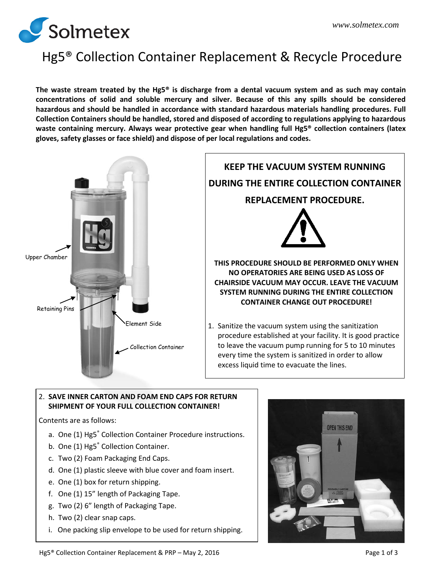

# Hg5® Collection Container Replacement & Recycle Procedure

**The waste stream treated by the Hg5® is discharge from a dental vacuum system and as such may contain concentrations of solid and soluble mercury and silver. Because of this any spills should be considered hazardous and should be handled in accordance with standard hazardous materials handling procedures. Full Collection Containers should be handled, stored and disposed of according to regulations applying to hazardous waste containing mercury. Always wear protective gear when handling full Hg5® collection containers (latex gloves, safety glasses or face shield) and dispose of per local regulations and codes.**



#### 2. **SAVE INNER CARTON AND FOAM END CAPS FOR RETURN SHIPMENT OF YOUR FULL COLLECTION CONTAINER!**

Contents are as follows:

- a. One (1) Hg5<sup>®</sup> Collection Container Procedure instructions.
- b. One (1) Hg5<sup>®</sup> Collection Container.
- c. Two (2) Foam Packaging End Caps.
- d. One (1) plastic sleeve with blue cover and foam insert.
- e. One (1) box for return shipping.
- f. One (1) 15" length of Packaging Tape.
- g. Two (2) 6" length of Packaging Tape.
- h. Two (2) clear snap caps.
- i. One packing slip envelope to be used for return shipping.

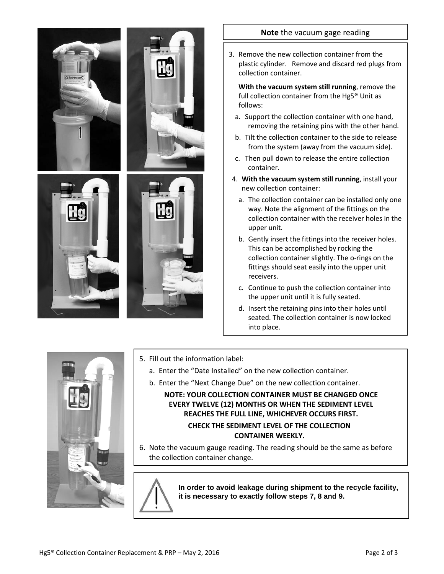

#### **Note** the vacuum gage reading

3. Remove the new collection container from the plastic cylinder. Remove and discard red plugs from collection container.

**With the vacuum system still running**, remove the full collection container from the Hg5® Unit as follows:

- a. Support the collection container with one hand, removing the retaining pins with the other hand.
- b. Tilt the collection container to the side to release from the system (away from the vacuum side).
- c. Then pull down to release the entire collection container.
- 4. **With the vacuum system still running**, install your new collection container:
	- a. The collection container can be installed only one way. Note the alignment of the fittings on the collection container with the receiver holes in the upper unit.
	- b. Gently insert the fittings into the receiver holes. This can be accomplished by rocking the collection container slightly. The o-rings on the fittings should seat easily into the upper unit receivers.
	- c. Continue to push the collection container into the upper unit until it is fully seated.
	- d. Insert the retaining pins into their holes until seated. The collection container is now locked into place.



- 5. Fill out the information label:
	- a. Enter the "Date Installed" on the new collection container.
	- b. Enter the "Next Change Due" on the new collection container.

**NOTE: YOUR COLLECTION CONTAINER MUST BE CHANGED ONCE EVERY TWELVE (12) MONTHS OR WHEN THE SEDIMENT LEVEL REACHES THE FULL LINE, WHICHEVER OCCURS FIRST. CHECK THE SEDIMENT LEVEL OF THE COLLECTION CONTAINER WEEKLY.**

6. Note the vacuum gauge reading. The reading should be the same as before the collection container change.



**In order to avoid leakage during shipment to the recycle facility, it is necessary to exactly follow steps 7, 8 and 9.**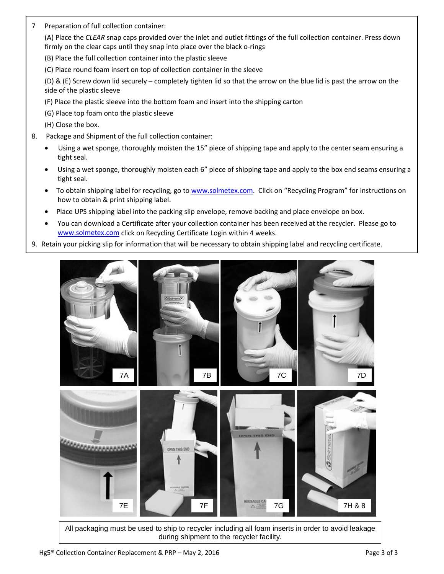7 Preparation of full collection container:

(A) Place the *CLEAR* snap caps provided over the inlet and outlet fittings of the full collection container. Press down firmly on the clear caps until they snap into place over the black o-rings

- (B) Place the full collection container into the plastic sleeve
- (C) Place round foam insert on top of collection container in the sleeve

(D) & (E) Screw down lid securely – completely tighten lid so that the arrow on the blue lid is past the arrow on the side of the plastic sleeve

- (F) Place the plastic sleeve into the bottom foam and insert into the shipping carton
- (G) Place top foam onto the plastic sleeve

(H) Close the box.

- 8. Package and Shipment of the full collection container:
	- Using a wet sponge, thoroughly moisten the 15" piece of shipping tape and apply to the center seam ensuring a tight seal.
	- Using a wet sponge, thoroughly moisten each 6" piece of shipping tape and apply to the box end seams ensuring a tight seal.
	- To obtain shipping label for recycling, go to [www.solmetex.com.](http://www.solmetex.com/) Click on "Recycling Program" for instructions on how to obtain & print shipping label.
	- Place UPS shipping label into the packing slip envelope, remove backing and place envelope on box.
	- You can download a Certificate after your collection container has been received at the recycler. Please go to [www.solmetex.com](http://www.solmetex.com/) click on Recycling Certificate Login within 4 weeks.
- 9. Retain your picking slip for information that will be necessary to obtain shipping label and recycling certificate.



All packaging must be used to ship to recycler including all foam inserts in order to avoid leakage during shipment to the recycler facility.